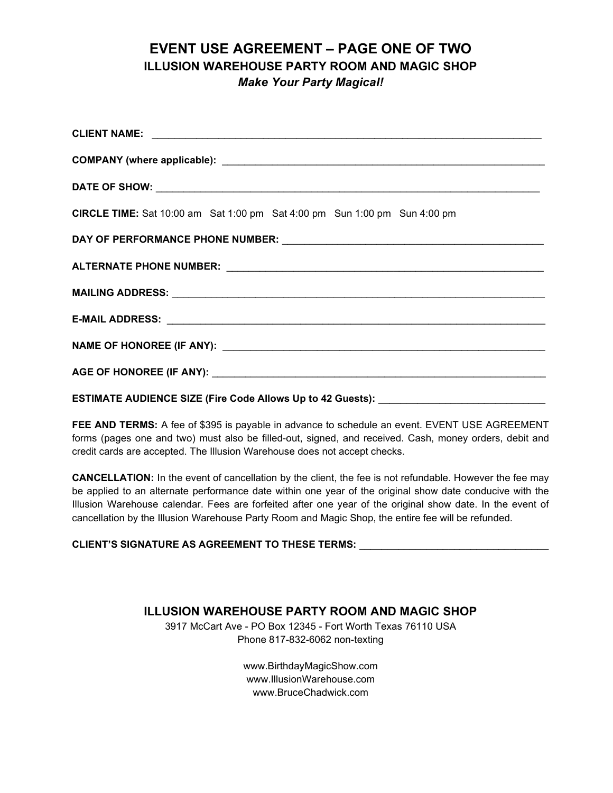## EVENT USE AGREEMENT – PAGE ONE OF TWO ILLUSION WAREHOUSE PARTY ROOM AND MAGIC SHOP Make Your Party Magical!

| CIRCLE TIME: Sat 10:00 am Sat 1:00 pm Sat 4:00 pm Sun 1:00 pm Sun 4:00 pm        |
|----------------------------------------------------------------------------------|
|                                                                                  |
|                                                                                  |
|                                                                                  |
|                                                                                  |
|                                                                                  |
|                                                                                  |
| ESTIMATE AUDIENCE SIZE (Fire Code Allows Up to 42 Guests): _____________________ |

FEE AND TERMS: A fee of \$395 is payable in advance to schedule an event. EVENT USE AGREEMENT forms (pages one and two) must also be filled-out, signed, and received. Cash, money orders, debit and credit cards are accepted. The Illusion Warehouse does not accept checks.

CANCELLATION: In the event of cancellation by the client, the fee is not refundable. However the fee may be applied to an alternate performance date within one year of the original show date conducive with the Illusion Warehouse calendar. Fees are forfeited after one year of the original show date. In the event of cancellation by the Illusion Warehouse Party Room and Magic Shop, the entire fee will be refunded.

CLIENT'S SIGNATURE AS AGREEMENT TO THESE TERMS:

## ILLUSION WAREHOUSE PARTY ROOM AND MAGIC SHOP

3917 McCart Ave - PO Box 12345 - Fort Worth Texas 76110 USA Phone 817-832-6062 non-texting

> www.BirthdayMagicShow.com www.IllusionWarehouse.com www.BruceChadwick.com